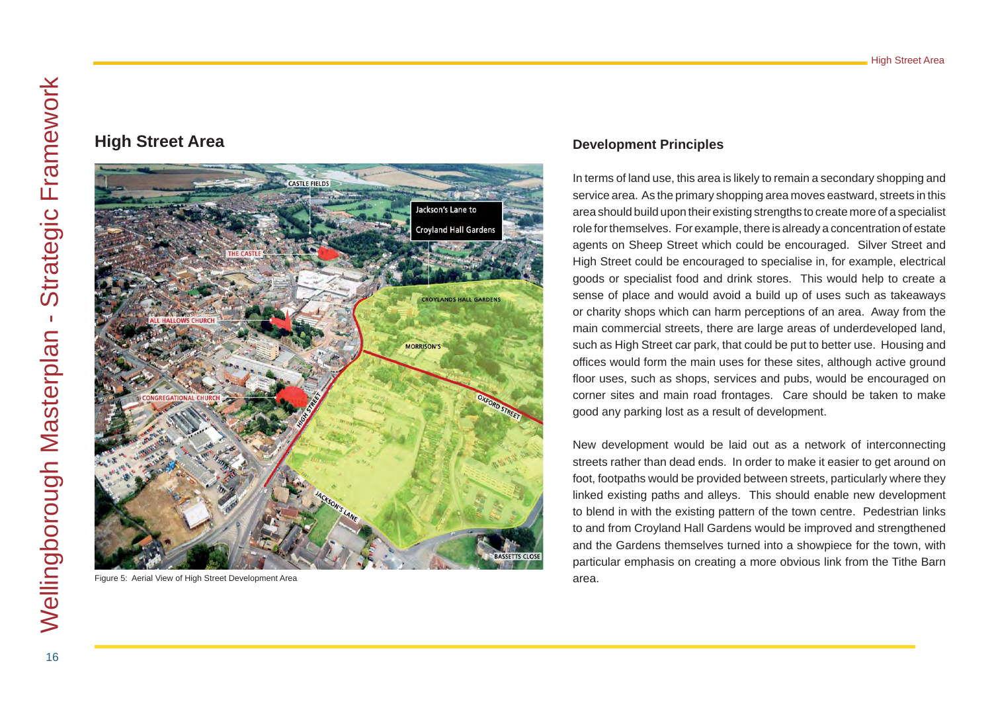# **High Street Area**



Figure 5: Aerial View of High Street Development Area

## **Development Principles**

In terms of land use, this area is likely to remain a secondary shopping and service area. As the primary shopping area moves eastward, streets in this area should build upon their existing strengths to create more of a specialist role for themselves. For example, there is already a concentration of estate agents on Sheep Street which could be encouraged. Silver Street and High Street could be encouraged to specialise in, for example, electrical goods or specialist food and drink stores. This would help to create a sense of place and would avoid a build up of uses such as takeaways or charity shops which can harm perceptions of an area. Away from the main commercial streets, there are large areas of underdeveloped land, such as High Street car park, that could be put to better use. Housing and offices would form the main uses for these sites, although active ground floor uses, such as shops, services and pubs, would be encouraged on corner sites and main road frontages. Care should be taken to make good any parking lost as a result of development.

New development would be laid out as a network of interconnecting streets rather than dead ends. In order to make it easier to get around on foot, footpaths would be provided between streets, particularly where they linked existing paths and alleys. This should enable new development to blend in with the existing pattern of the town centre. Pedestrian links to and from Croyland Hall Gardens would be improved and strengthened and the Gardens themselves turned into a showpiece for the town, with particular emphasis on creating a more obvious link from the Tithe Barn area.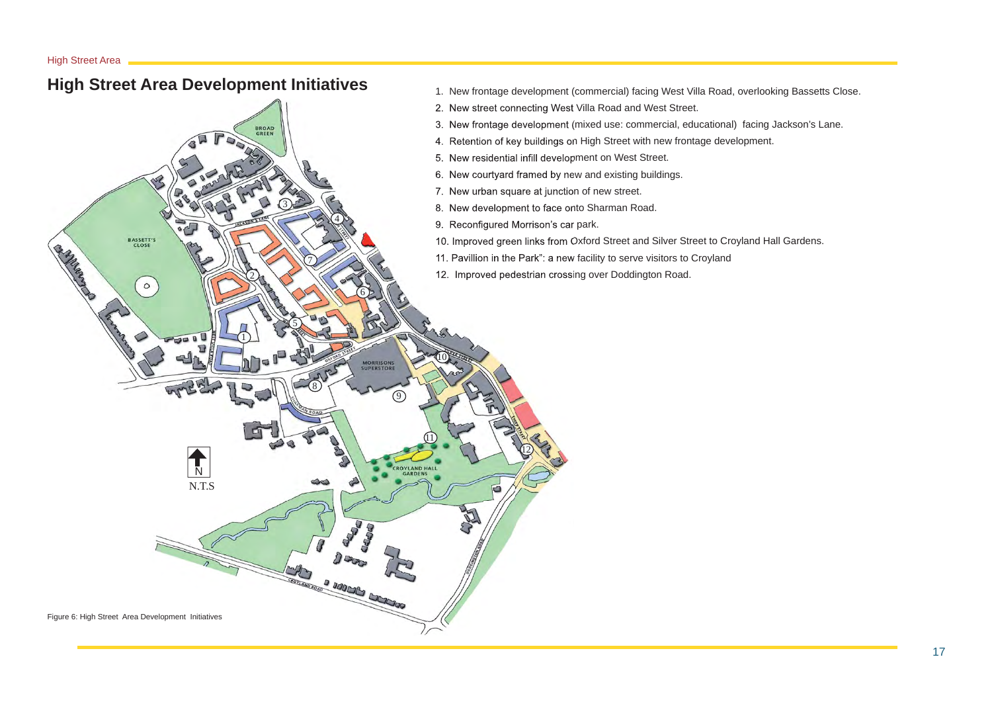